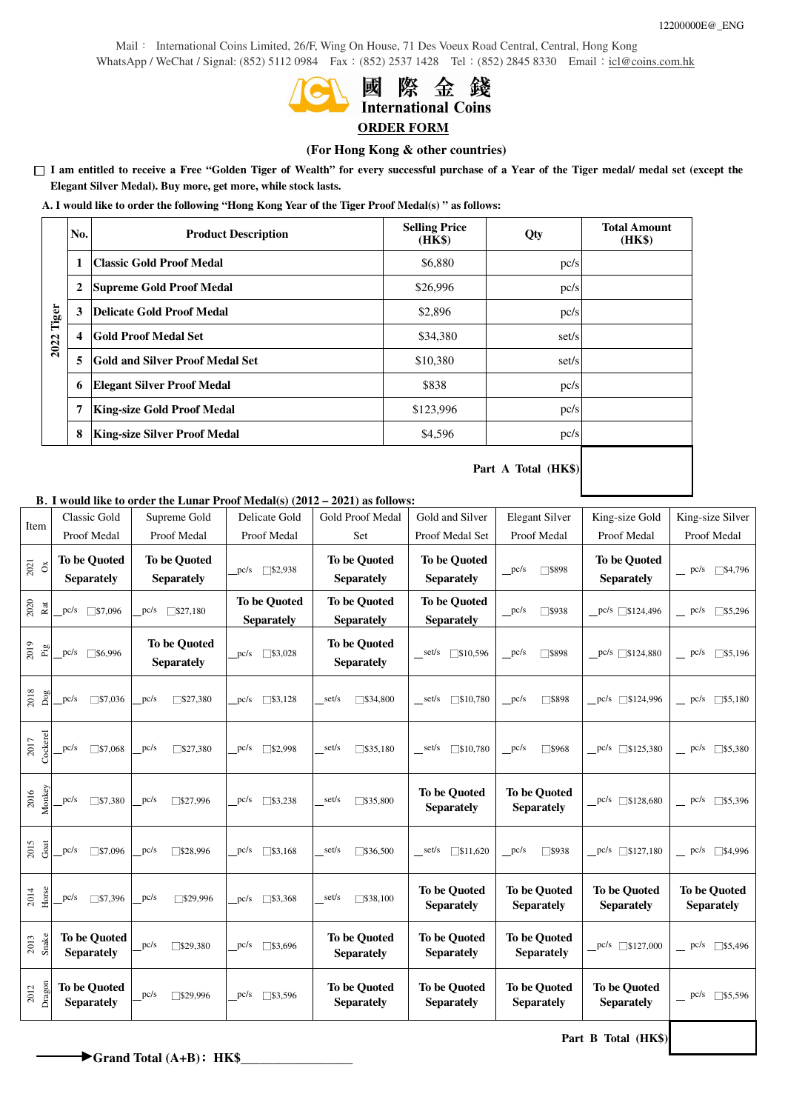Mail: International Coins Limited, 26/F, Wing On House, 71 Des Voeux Road Central, Central, Hong Kong WhatsApp / WeChat / Signal: (852) 5112 0984 Fax: (852) 2537 1428 Tel: (852) 2845 8330 Email: icl@coins.com.hk



# 際金錢 **International Coins**

# **ORDER FORM**

## **(For Hong Kong & other countries)**

□ **I am entitled to receive a Free "Golden Tiger of Wealth" for every successful purchase of a Year of the Tiger medal/ medal set (except the Elegant Silver Medal). Buy more, get more, while stock lasts.**

**A. I would like to order the following "Hong Kong Year of the Tiger Proof Medal(s) " as follows:** 

|            | No. | <b>Product Description</b>             | <b>Selling Price</b><br>(HK\$) | Qty   | <b>Total Amount</b><br>(HK\$) |
|------------|-----|----------------------------------------|--------------------------------|-------|-------------------------------|
| 2022 Tiger | 1   | Classic Gold Proof Medal               | \$6,880                        | pc/s  |                               |
|            | 2   | <b>Supreme Gold Proof Medal</b>        | \$26,996                       | pc/s  |                               |
|            | 3   | Delicate Gold Proof Medal              | \$2,896                        | pc/s  |                               |
|            | 4   | <b>Gold Proof Medal Set</b>            | \$34,380                       | set/s |                               |
|            | 5   | <b>Gold and Silver Proof Medal Set</b> | \$10,380                       | set/s |                               |
|            | 6   | <b>Elegant Silver Proof Medal</b>      | \$838                          | pc/s  |                               |
|            | 7   | <b>King-size Gold Proof Medal</b>      | \$123,996                      | pc/s  |                               |
|            | 8   | <b>King-size Silver Proof Medal</b>    | \$4,596                        | pc/s  |                               |
|            |     |                                        |                                |       |                               |

**Part A Total (HK\$)**

# **B**. **I would like to order the Lunar Proof Medal(s) (2012 – 2021) as follows:**

| Item                 | <b>Classic Gold</b>    | Supreme Gold        | Delicate Gold          | Gold Proof Medal           | Gold and Silver          | <b>Elegant Silver</b>     | King-size Gold            | King-size Silver     |
|----------------------|------------------------|---------------------|------------------------|----------------------------|--------------------------|---------------------------|---------------------------|----------------------|
|                      | Proof Medal            | Proof Medal         | Proof Medal            | Set                        | Proof Medal Set          | Proof Medal               | Proof Medal               | Proof Medal          |
| 2021                 | <b>To be Quoted</b>    | <b>To be Quoted</b> | $\Box$ \$2,938         | <b>To be Quoted</b>        | <b>To be Quoted</b>      | pc/s                      | <b>To be Quoted</b>       | $\Box$ \$4,796       |
| $\breve{\mathrm{o}}$ | <b>Separately</b>      | <b>Separately</b>   | pc/s                   | <b>Separately</b>          | <b>Separately</b>        | □\$898                    | <b>Separately</b>         | $=$ pc/s             |
| 2020                 | pc/s                   | 527,180             | <b>To be Quoted</b>    | <b>To be Quoted</b>        | <b>To be Quoted</b>      | □\$938                    | $pc/s$ $$124,496$         | $\sqrt{\$5,296}$     |
| Rat                  | $\Box$ \$7,096         | pc/s                | <b>Separately</b>      | <b>Separately</b>          | <b>Separately</b>        | p c/s                     |                           | $=$ pc/s             |
| 2019                 | pc/s                   | <b>To be Quoted</b> | $\Box$ \$3,028         | <b>To be Ouoted</b>        | $\sqrt{$}10,596$         | p c/s                     | $pc/s$ $\sqrt{$}124,880$  | $\sqrt{\$5,196}$     |
| Pig                  | \$6,996                | <b>Separately</b>   | pc/s                   | <b>Separately</b>          | set/s                    | □\$898                    |                           | $=$ pc/s             |
| 2018                 | pc/s                   | pc/s                | $\sqrt{\$3,128}$       | set/s                      | set/s                    | p c/s                     | $pc/s$ $\Box$ \$124,996   | $-$ pc/s             |
| Dog                  | $\Box$ \$7,036         | $\sqrt{\$27,380}$   | pc/s                   | $\Box$ \$34,800            | $\square$ \$10,780       | □\$898                    |                           | $\sqrt{\$5,180}$     |
| Cockerel             | pc/s                   | pc/s                | pc/s                   | set/s                      | 510,780                  | P <sup>c/s</sup>          | $pc/s$ \[\emptys\$125,380 | $=$ pc/s             |
| 2017                 | $\square$ \$7,068      | $\sqrt{$27,380}$    | $\Box$ \$2,998         | $\sqrt{$}35,180$           | set/s                    | $\Box$ \$968              |                           | 5,380                |
| Monkey               | $\Box$ \$7,380         | pc/s                | $\Box$ \$3,238         | set/s                      | <b>To be Quoted</b>      | <b>To be Quoted</b>       | $pc/s$ $5128,680$         | $=$ pc/s             |
| 2016                 | pc/s                   | $\sqrt{$}327,996$   | pc/s                   | $\sqrt{\$35,800}$          | <b>Separately</b>        | <b>Separately</b>         |                           | $\sqrt{\$5,396}$     |
| $2015$<br>Goat       | pc/s<br>$\Box$ \$7,096 | pc/s<br>\$28,996    | pc/s<br>$\Box$ \$3,168 | set/s<br>$\sqrt{\$36,500}$ | $\Box$ \$11,620<br>set/s | P <sub>cs</sub><br>□\$938 | $pc/s$ \[\emptys\$127,180 | $=$ pc/s<br>□\$4,996 |
| Horse                | pc/s                   | pc/s                | $\Box$ \$3,368         | set/s                      | <b>To be Quoted</b>      | <b>To be Quoted</b>       | <b>To be Quoted</b>       | <b>To be Quoted</b>  |
| 2014                 | $\Box$ \$7,396         | $\sqrt{$}329,996$   | pc/s                   | $\sqrt{$}38,100$           | <b>Separately</b>        | <b>Separately</b>         | <b>Separately</b>         | <b>Separately</b>    |
| Snake                | <b>To be Ouoted</b>    | pc/s                | $\Box$ \$3,696         | <b>To be Ouoted</b>        | <b>To be Quoted</b>      | <b>To be Quoted</b>       | $pc/s$ $\sqrt{$}127,000$  | $=$ pc/s             |
| 2013                 | <b>Separately</b>      | $\square$ \$29,380  | pc/s                   | <b>Separately</b>          | <b>Separately</b>        | <b>Separately</b>         |                           | $\sqrt{\$5,496}$     |
| Dragon               | <b>To be Quoted</b>    | pc/s                | pc/s                   | <b>To be Quoted</b>        | <b>To be Quoted</b>      | <b>To be Quoted</b>       | <b>To be Quoted</b>       | $=$ pc/s             |
| 2012                 | <b>Separately</b>      | \$29,996            | $\Box$ \$3,596         | <b>Separately</b>          | <b>Separately</b>        | <b>Separately</b>         | <b>Separately</b>         | $\sqrt{\$5,596}$     |

◆ Grand Total (A+B): **HK\$** 

**Part B Total (HK\$)**